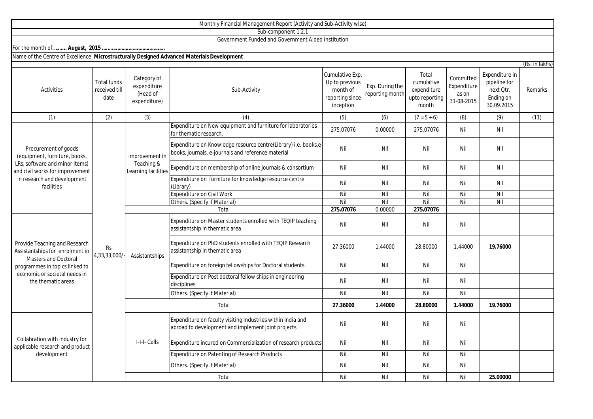|                                                                                                                                                                                          |                                             |                                                        | Monthly Financial Management Report (Activity and Sub-Activity wise)                                                 |                                                                               |                                    |                                                               |                                                 |                                                                        |                           |
|------------------------------------------------------------------------------------------------------------------------------------------------------------------------------------------|---------------------------------------------|--------------------------------------------------------|----------------------------------------------------------------------------------------------------------------------|-------------------------------------------------------------------------------|------------------------------------|---------------------------------------------------------------|-------------------------------------------------|------------------------------------------------------------------------|---------------------------|
|                                                                                                                                                                                          |                                             |                                                        | Sub-component 1.2.1                                                                                                  |                                                                               |                                    |                                                               |                                                 |                                                                        |                           |
|                                                                                                                                                                                          |                                             |                                                        | Government Funded and Government Aided Institution                                                                   |                                                                               |                                    |                                                               |                                                 |                                                                        |                           |
|                                                                                                                                                                                          |                                             |                                                        |                                                                                                                      |                                                                               |                                    |                                                               |                                                 |                                                                        |                           |
| Name of the Centre of Excellence: Microstructurally Designed Advanced Materials Development                                                                                              |                                             |                                                        |                                                                                                                      |                                                                               |                                    |                                                               |                                                 |                                                                        |                           |
| <b>Activities</b>                                                                                                                                                                        | <b>Total funds</b><br>received till<br>date | Category of<br>expenditure<br>(Head of<br>expenditure) | Sub-Activity                                                                                                         | Cumulative Exp.<br>Up to previous<br>month of<br>reporting since<br>inception | Exp. During the<br>reporting month | Total<br>cumulative<br>expenditure<br>upto reporting<br>month | Committed<br>Expenditure<br>as on<br>31-08-2015 | Expenditure in<br>pipeline for<br>next Qtr.<br>Ending on<br>30.09.2015 | (Rs. in lakhs)<br>Remarks |
| (1)                                                                                                                                                                                      | (2)                                         | (3)                                                    | (4)                                                                                                                  | (5)                                                                           | (6)                                | $(7 = 5 + 6)$                                                 | (8)                                             | (9)                                                                    | (11)                      |
| Procurement of goods<br>(equipment, furniture, books,<br>LRs, software and minor items)<br>and civil works for improvement<br>in research and development<br>facilities                  |                                             | improvement in<br>Teaching &<br>Learning facilities    | Expenditure on New equipment and furniture for laboratories<br>for thematic research                                 | 275.07076                                                                     | 0.00000                            | 275.07076                                                     | Nil                                             | Nil                                                                    |                           |
|                                                                                                                                                                                          |                                             |                                                        | Expenditure on Knowledge resource centre(Library) i.e. books,e<br>books, journals, e-journals and reference material | Nil                                                                           | Nil                                | Nil                                                           | Nil                                             | Nil                                                                    |                           |
|                                                                                                                                                                                          |                                             |                                                        | Expenditure on membership of online journals & consortium                                                            | Nil                                                                           | Nil                                | Nil                                                           | Nil                                             | Nil                                                                    |                           |
|                                                                                                                                                                                          | Rs<br>4,33,33,000/                          |                                                        | Expenditure on furniture for knowledge resource centre<br>(Library)                                                  | Nil                                                                           | Nil                                | Nil                                                           | Nil                                             | Nil                                                                    |                           |
|                                                                                                                                                                                          |                                             |                                                        | <b>Expenditure on Civil Work</b>                                                                                     | Nil                                                                           | Nil                                | Nil                                                           | Nil                                             | Nil                                                                    |                           |
|                                                                                                                                                                                          |                                             |                                                        | Others. (Specify if Material)                                                                                        | Nil                                                                           | Nil                                | Nil                                                           | Nil                                             | Nil                                                                    |                           |
|                                                                                                                                                                                          |                                             |                                                        | Total                                                                                                                | 275.07076                                                                     | 0.00000                            | 275.07076                                                     |                                                 |                                                                        |                           |
| Provide Teaching and Research<br>Assistantships for enrolment in<br><b>Masters and Doctoral</b><br>programmes in topics linked to<br>economic or societal needs in<br>the thematic areas |                                             | Assistantships                                         | Expenditure on Master students enrolled with TEQIP teaching<br>assistantship in thematic area                        | Nil                                                                           | Nil                                | Nil                                                           | Nil                                             |                                                                        |                           |
|                                                                                                                                                                                          |                                             |                                                        | Expenditure on PhD students enrolled with TEQIP Research<br>assistantship in thematic area                           | 27.36000                                                                      | 1.44000                            | 28.80000                                                      | 1.44000                                         | 19.76000                                                               |                           |
|                                                                                                                                                                                          |                                             |                                                        | Expenditure on foreign fellowships for Doctoral students.                                                            | Nil                                                                           | Nil                                | Nil                                                           | Nil                                             |                                                                        |                           |
|                                                                                                                                                                                          |                                             |                                                        | Expenditure on Post doctoral fellow ships in engineering<br>disciplines                                              | Nil                                                                           | Nil                                | Nil                                                           | Nil                                             |                                                                        |                           |
|                                                                                                                                                                                          |                                             |                                                        | Others. (Specify if Material)                                                                                        | Nil                                                                           | Nil                                | Nil                                                           | Nil                                             |                                                                        |                           |
|                                                                                                                                                                                          |                                             | Total                                                  |                                                                                                                      | 27.36000                                                                      | 1.44000                            | 28.80000                                                      | 1.44000                                         | 19.76000                                                               |                           |
| Collabration with industry for<br>applicable research and product<br>development                                                                                                         |                                             | I-I-I- Cells                                           | Expenditure on faculty visiting Industries within india and<br>abroad to development and implement joint projects.   | Nil                                                                           | Nil                                | Nil                                                           | Nil                                             |                                                                        |                           |
|                                                                                                                                                                                          |                                             |                                                        | Expenditure incured on Commercialization of research products                                                        | Nil                                                                           | Nil                                | Nil                                                           | Nil                                             |                                                                        |                           |
|                                                                                                                                                                                          |                                             |                                                        | Expenditure on Patenting of Research Products                                                                        | Nil                                                                           | Nil                                | Nil                                                           | Nil                                             |                                                                        |                           |
|                                                                                                                                                                                          |                                             |                                                        | Others. (Specify if Material)                                                                                        | Nil                                                                           | Nil                                | Nil                                                           | Nil                                             |                                                                        |                           |
|                                                                                                                                                                                          |                                             |                                                        | Total                                                                                                                | Nil                                                                           | Nil                                | Nil                                                           | Nil                                             | 25.00000                                                               |                           |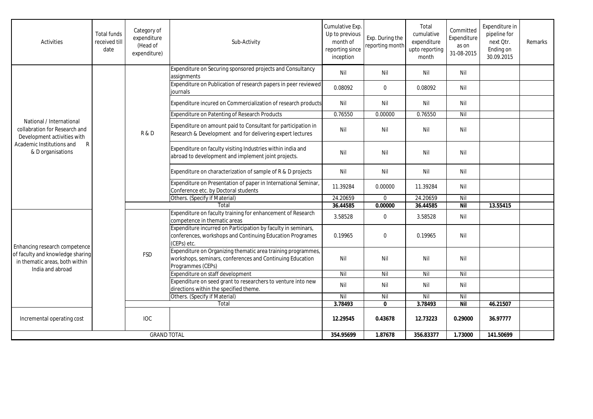| <b>Activities</b>                                                                                                                               | <b>Total funds</b><br>received till<br>date | Category of<br>expenditure<br>(Head of<br>expenditure) | Sub-Activity                                                                                                                                   | Cumulative Exp.<br>Up to previous<br>month of<br>reporting since<br>inception | Exp. During the<br>reporting month | Total<br>cumulative<br>expenditure<br>upto reporting<br>month | Committed<br>Expenditure<br>as on<br>31-08-2015 | Expenditure in<br>pipeline for<br>next Otr.<br>Ending on<br>30.09.2015 | Remarks |
|-------------------------------------------------------------------------------------------------------------------------------------------------|---------------------------------------------|--------------------------------------------------------|------------------------------------------------------------------------------------------------------------------------------------------------|-------------------------------------------------------------------------------|------------------------------------|---------------------------------------------------------------|-------------------------------------------------|------------------------------------------------------------------------|---------|
|                                                                                                                                                 |                                             | R&D                                                    | Expenditure on Securing sponsored projects and Consultancy<br>assignments                                                                      | Nil                                                                           | Nil                                | Nil                                                           | Nil                                             |                                                                        |         |
|                                                                                                                                                 |                                             |                                                        | Expenditure on Publication of research papers in peer reviewed<br>iournals                                                                     | 0.08092                                                                       | $\mathbf 0$                        | 0.08092                                                       | Nil                                             |                                                                        |         |
|                                                                                                                                                 |                                             |                                                        | Expenditure incured on Commercialization of research products                                                                                  | Nil                                                                           | Nil                                | Nil                                                           | Nil                                             |                                                                        |         |
|                                                                                                                                                 |                                             |                                                        | <b>Expenditure on Patenting of Research Products</b>                                                                                           | 0.76550                                                                       | 0.00000                            | 0.76550                                                       | Nil                                             |                                                                        |         |
| National / International<br>collabration for Research and<br>Development activities with<br>Academic Institutions and<br>R<br>& D organisations |                                             |                                                        | Expenditure on amount paid to Consultant for participation in<br>Research & Development and for delivering expert lectures                     | Nil                                                                           | Nil                                | Nil                                                           | Nil                                             |                                                                        |         |
|                                                                                                                                                 |                                             |                                                        | Expenditure on faculty visiting Industries within india and<br>abroad to development and implement joint projects.                             | Nil                                                                           | Nil                                | Nil                                                           | Nil                                             |                                                                        |         |
|                                                                                                                                                 |                                             |                                                        | Expenditure on characterization of sample of R & D projects                                                                                    | Nil                                                                           | Nil                                | Nil                                                           | Nil                                             |                                                                        |         |
|                                                                                                                                                 |                                             |                                                        | Expenditure on Presentation of paper in International Seminar,<br>Conference etc. by Doctoral students                                         | 11.39284                                                                      | 0.00000                            | 11.39284                                                      | Nil                                             |                                                                        |         |
|                                                                                                                                                 |                                             |                                                        | Others. (Specify if Material)                                                                                                                  | 24.20659                                                                      | $\mathbf 0$                        | 24.20659                                                      | Nil                                             |                                                                        |         |
|                                                                                                                                                 |                                             |                                                        | Total                                                                                                                                          | 36.44585                                                                      | 0.00000                            | 36.44585                                                      | <b>Nil</b>                                      | 13.55415                                                               |         |
| Enhancing research competence<br>of faculty and knowledge sharing<br>in thematic areas, both within<br>India and abroad                         |                                             | <b>FSD</b>                                             | Expenditure on faculty training for enhancement of Research<br>competence in thematic areas                                                    | 3.58528                                                                       | $\pmb{0}$                          | 3.58528                                                       | Nil                                             |                                                                        |         |
|                                                                                                                                                 |                                             |                                                        | Expenditure incurred on Participation by faculty in seminars,<br>conferences, workshops and Continuing Education Programes<br>(CEPs) etc.      | 0.19965                                                                       | $\Omega$                           | 0.19965                                                       | Nil                                             |                                                                        |         |
|                                                                                                                                                 |                                             |                                                        | Expenditure on Organizing thematic area training programmes,<br>workshops, seminars, conferences and Continuing Education<br>Programmes (CEPs) | Nil                                                                           | Nil                                | Nil                                                           | Nil                                             |                                                                        |         |
|                                                                                                                                                 |                                             |                                                        | Expenditure on staff development                                                                                                               | Nil                                                                           | Nil                                | $\overline{N}$                                                | Nil                                             |                                                                        |         |
|                                                                                                                                                 |                                             |                                                        | Expenditure on seed grant to researchers to venture into new<br>directions within the specified theme.                                         | Nil                                                                           | Nil                                | Nil                                                           | Nil                                             |                                                                        |         |
|                                                                                                                                                 |                                             |                                                        | Others. (Specify if Material)                                                                                                                  | Nil                                                                           | Nil                                | Nil                                                           | Nil                                             |                                                                        |         |
|                                                                                                                                                 |                                             |                                                        | Total                                                                                                                                          | 3.78493                                                                       | $\mathbf{0}$                       | 3.78493                                                       | Nil                                             | 46.21507                                                               |         |
| Incremental operating cost                                                                                                                      |                                             | <b>IOC</b>                                             |                                                                                                                                                | 12.29545                                                                      | 0.43678                            | 12.73223                                                      | 0.29000                                         | 36.97777                                                               |         |
| <b>GRAND TOTAL</b>                                                                                                                              |                                             |                                                        | 354.95699                                                                                                                                      | 1.87678                                                                       | 356.83377                          | 1.73000                                                       | 141.50699                                       |                                                                        |         |